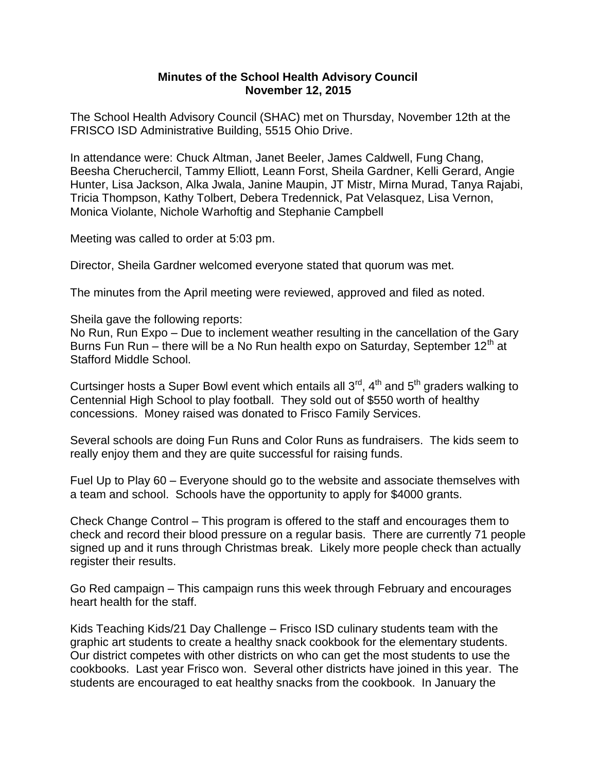## **Minutes of the School Health Advisory Council November 12, 2015**

The School Health Advisory Council (SHAC) met on Thursday, November 12th at the FRISCO ISD Administrative Building, 5515 Ohio Drive.

In attendance were: Chuck Altman, Janet Beeler, James Caldwell, Fung Chang, Beesha Cheruchercil, Tammy Elliott, Leann Forst, Sheila Gardner, Kelli Gerard, Angie Hunter, Lisa Jackson, Alka Jwala, Janine Maupin, JT Mistr, Mirna Murad, Tanya Rajabi, Tricia Thompson, Kathy Tolbert, Debera Tredennick, Pat Velasquez, Lisa Vernon, Monica Violante, Nichole Warhoftig and Stephanie Campbell

Meeting was called to order at 5:03 pm.

Director, Sheila Gardner welcomed everyone stated that quorum was met.

The minutes from the April meeting were reviewed, approved and filed as noted.

Sheila gave the following reports:

No Run, Run Expo – Due to inclement weather resulting in the cancellation of the Gary Burns Fun Run – there will be a No Run health expo on Saturday, September 12<sup>th</sup> at Stafford Middle School.

Curtsinger hosts a Super Bowl event which entails all  $3<sup>rd</sup>$ ,  $4<sup>th</sup>$  and  $5<sup>th</sup>$  graders walking to Centennial High School to play football. They sold out of \$550 worth of healthy concessions. Money raised was donated to Frisco Family Services.

Several schools are doing Fun Runs and Color Runs as fundraisers. The kids seem to really enjoy them and they are quite successful for raising funds.

Fuel Up to Play 60 – Everyone should go to the website and associate themselves with a team and school. Schools have the opportunity to apply for \$4000 grants.

Check Change Control – This program is offered to the staff and encourages them to check and record their blood pressure on a regular basis. There are currently 71 people signed up and it runs through Christmas break. Likely more people check than actually register their results.

Go Red campaign – This campaign runs this week through February and encourages heart health for the staff.

Kids Teaching Kids/21 Day Challenge – Frisco ISD culinary students team with the graphic art students to create a healthy snack cookbook for the elementary students. Our district competes with other districts on who can get the most students to use the cookbooks. Last year Frisco won. Several other districts have joined in this year. The students are encouraged to eat healthy snacks from the cookbook. In January the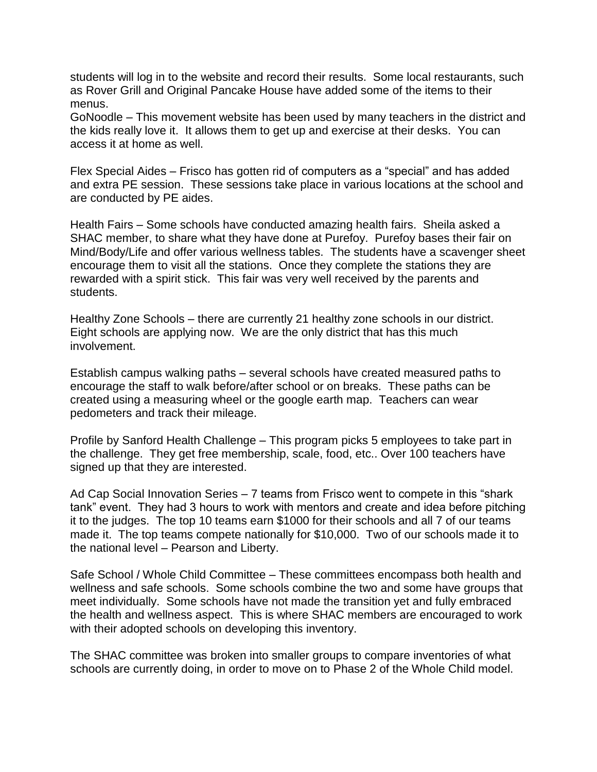students will log in to the website and record their results. Some local restaurants, such as Rover Grill and Original Pancake House have added some of the items to their menus.

GoNoodle – This movement website has been used by many teachers in the district and the kids really love it. It allows them to get up and exercise at their desks. You can access it at home as well.

Flex Special Aides – Frisco has gotten rid of computers as a "special" and has added and extra PE session. These sessions take place in various locations at the school and are conducted by PE aides.

Health Fairs – Some schools have conducted amazing health fairs. Sheila asked a SHAC member, to share what they have done at Purefoy. Purefoy bases their fair on Mind/Body/Life and offer various wellness tables. The students have a scavenger sheet encourage them to visit all the stations. Once they complete the stations they are rewarded with a spirit stick. This fair was very well received by the parents and students.

Healthy Zone Schools – there are currently 21 healthy zone schools in our district. Eight schools are applying now. We are the only district that has this much involvement.

Establish campus walking paths – several schools have created measured paths to encourage the staff to walk before/after school or on breaks. These paths can be created using a measuring wheel or the google earth map. Teachers can wear pedometers and track their mileage.

Profile by Sanford Health Challenge – This program picks 5 employees to take part in the challenge. They get free membership, scale, food, etc.. Over 100 teachers have signed up that they are interested.

Ad Cap Social Innovation Series – 7 teams from Frisco went to compete in this "shark tank" event. They had 3 hours to work with mentors and create and idea before pitching it to the judges. The top 10 teams earn \$1000 for their schools and all 7 of our teams made it. The top teams compete nationally for \$10,000. Two of our schools made it to the national level – Pearson and Liberty.

Safe School / Whole Child Committee – These committees encompass both health and wellness and safe schools. Some schools combine the two and some have groups that meet individually. Some schools have not made the transition yet and fully embraced the health and wellness aspect. This is where SHAC members are encouraged to work with their adopted schools on developing this inventory.

The SHAC committee was broken into smaller groups to compare inventories of what schools are currently doing, in order to move on to Phase 2 of the Whole Child model.